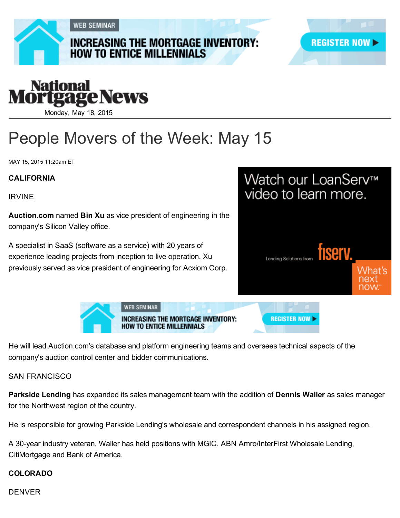**WEB SEMINAR** 

# **INCREASING THE MORTGAGE INVENTORY:**<br>HOW TO ENTICE MILLENNIALS





Monday, May 18, 2015

## People Movers of the Week: May 15

MAY 15, 2015 11:20am ET

#### CALIFORNIA

IRVINE

Auction.com named Bin Xu as vice president of engineering in the company's Silicon Valley office.

A specialist in SaaS (software as a service) with 20 years of experience leading projects from inception to live operation, Xu previously served as vice president of engineering for Acxiom Corp.

### Watch our LoanServ<sup>™</sup> video to learn more.





He will lead Auction.com's database and platform engineering teams and oversees technical aspects of the company's auction control center and bidder communications.

#### SAN FRANCISCO

Parkside Lending has expanded its sales management team with the addition of Dennis Waller as sales manager for the Northwest region of the country.

He is responsible for growing Parkside Lending's wholesale and correspondent channels in his assigned region.

A 30-year industry veteran, Waller has held positions with MGIC, ABN Amro/InterFirst Wholesale Lending, CitiMortgage and Bank of America.

#### COLORADO

#### DENVER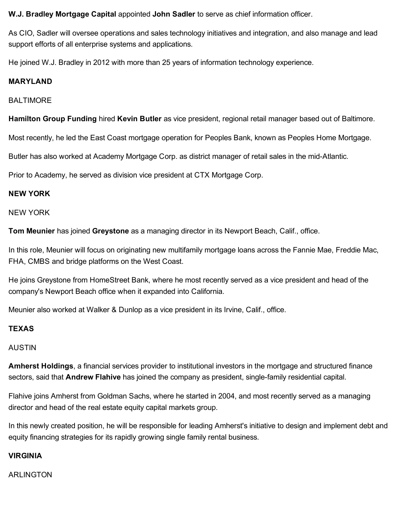#### W.J. Bradley Mortgage Capital appointed John Sadler to serve as chief information officer.

As CIO, Sadler will oversee operations and sales technology initiatives and integration, and also manage and lead support efforts of all enterprise systems and applications.

He joined W.J. Bradley in 2012 with more than 25 years of information technology experience.

#### MARYLAND

#### BALTIMORE

Hamilton Group Funding hired Kevin Butler as vice president, regional retail manager based out of Baltimore.

Most recently, he led the East Coast mortgage operation for Peoples Bank, known as Peoples Home Mortgage.

Butler has also worked at Academy Mortgage Corp. as district manager of retail sales in the mid-Atlantic.

Prior to Academy, he served as division vice president at CTX Mortgage Corp.

#### NEW YORK

#### NEW YORK

Tom Meunier has joined Greystone as a managing director in its Newport Beach, Calif., office.

In this role, Meunier will focus on originating new multifamily mortgage loans across the Fannie Mae, Freddie Mac, FHA, CMBS and bridge platforms on the West Coast.

He joins Greystone from HomeStreet Bank, where he most recently served as a vice president and head of the company's Newport Beach office when it expanded into California.

Meunier also worked at Walker & Dunlop as a vice president in its Irvine, Calif., office.

#### **TEXAS**

#### AUSTIN

Amherst Holdings, a financial services provider to institutional investors in the mortgage and structured finance sectors, said that **Andrew Flahive** has joined the company as president, single-family residential capital.

Flahive joins Amherst from Goldman Sachs, where he started in 2004, and most recently served as a managing director and head of the real estate equity capital markets group.

In this newly created position, he will be responsible for leading Amherst's initiative to design and implement debt and equity financing strategies for its rapidly growing single family rental business.

#### VIRGINIA

ARLINGTON